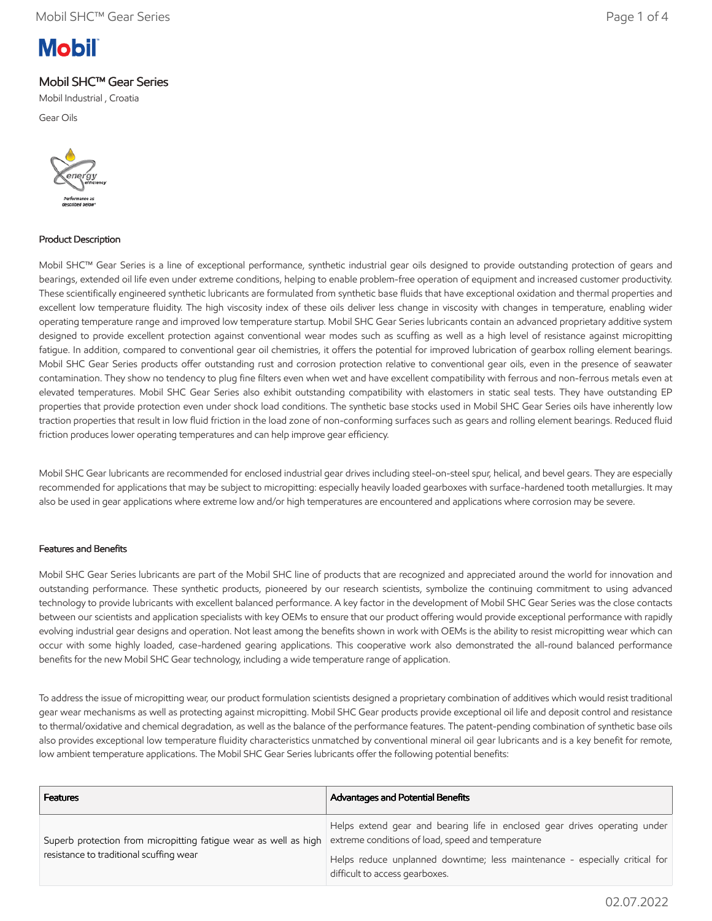# **Mobil**

## Mobil SHC™ Gear Series

Mobil Industrial , Croatia

Gear Oils



#### Product Description

Mobil SHC™ Gear Series is a line of exceptional performance, synthetic industrial gear oils designed to provide outstanding protection of gears and bearings, extended oil life even under extreme conditions, helping to enable problem-free operation of equipment and increased customer productivity. These scientifically engineered synthetic lubricants are formulated from synthetic base fluids that have exceptional oxidation and thermal properties and excellent low temperature fluidity. The high viscosity index of these oils deliver less change in viscosity with changes in temperature, enabling wider operating temperature range and improved low temperature startup. Mobil SHC Gear Series lubricants contain an advanced proprietary additive system designed to provide excellent protection against conventional wear modes such as scuffing as well as a high level of resistance against micropitting fatigue. In addition, compared to conventional gear oil chemistries, it offers the potential for improved lubrication of gearbox rolling element bearings. Mobil SHC Gear Series products offer outstanding rust and corrosion protection relative to conventional gear oils, even in the presence of seawater contamination. They show no tendency to plug fine filters even when wet and have excellent compatibility with ferrous and non-ferrous metals even at elevated temperatures. Mobil SHC Gear Series also exhibit outstanding compatibility with elastomers in static seal tests. They have outstanding EP properties that provide protection even under shock load conditions. The synthetic base stocks used in Mobil SHC Gear Series oils have inherently low traction properties that result in low fluid friction in the load zone of non-conforming surfaces such as gears and rolling element bearings. Reduced fluid friction produces lower operating temperatures and can help improve gear efficiency.

Mobil SHC Gear lubricants are recommended for enclosed industrial gear drives including steel-on-steel spur, helical, and bevel gears. They are especially recommended for applications that may be subject to micropitting: especially heavily loaded gearboxes with surface-hardened tooth metallurgies. It may also be used in gear applications where extreme low and/or high temperatures are encountered and applications where corrosion may be severe.

#### Features and Benefits

Mobil SHC Gear Series lubricants are part of the Mobil SHC line of products that are recognized and appreciated around the world for innovation and outstanding performance. These synthetic products, pioneered by our research scientists, symbolize the continuing commitment to using advanced technology to provide lubricants with excellent balanced performance. A key factor in the development of Mobil SHC Gear Series was the close contacts between our scientists and application specialists with key OEMs to ensure that our product offering would provide exceptional performance with rapidly evolving industrial gear designs and operation. Not least among the benefits shown in work with OEMs is the ability to resist micropitting wear which can occur with some highly loaded, case-hardened gearing applications. This cooperative work also demonstrated the all-round balanced performance benefits for the new Mobil SHC Gear technology, including a wide temperature range of application.

To address the issue of micropitting wear, our product formulation scientists designed a proprietary combination of additives which would resist traditional gear wear mechanisms as well as protecting against micropitting. Mobil SHC Gear products provide exceptional oil life and deposit control and resistance to thermal/oxidative and chemical degradation, as well as the balance of the performance features. The patent-pending combination of synthetic base oils also provides exceptional low temperature fluidity characteristics unmatched by conventional mineral oil gear lubricants and is a key benefit for remote, low ambient temperature applications. The Mobil SHC Gear Series lubricants offer the following potential benefits:

| <b>Features</b>                                                                                             | <b>Advantages and Potential Benefits</b>                                                                                        |
|-------------------------------------------------------------------------------------------------------------|---------------------------------------------------------------------------------------------------------------------------------|
| Superb protection from micropitting fatigue wear as well as high<br>resistance to traditional scuffing wear | Helps extend gear and bearing life in enclosed gear drives operating under<br>extreme conditions of load, speed and temperature |
|                                                                                                             | Helps reduce unplanned downtime; less maintenance - especially critical for<br>difficult to access gearboxes.                   |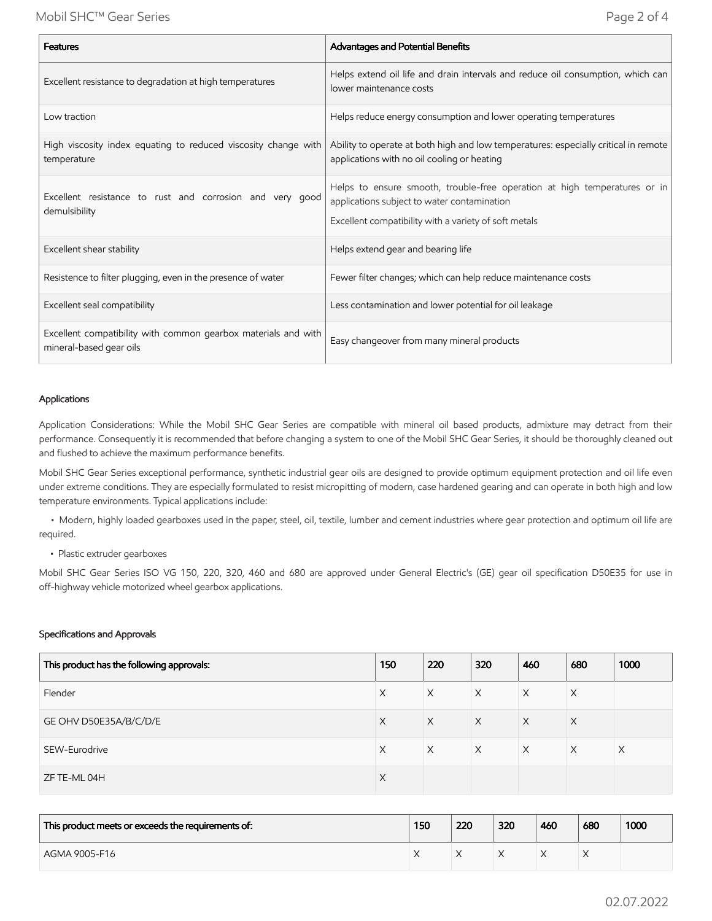| <b>Features</b>                                                                           | Advantages and Potential Benefits                                                                                                                                                 |
|-------------------------------------------------------------------------------------------|-----------------------------------------------------------------------------------------------------------------------------------------------------------------------------------|
| Excellent resistance to degradation at high temperatures                                  | Helps extend oil life and drain intervals and reduce oil consumption, which can<br>lower maintenance costs                                                                        |
| Low traction                                                                              | Helps reduce energy consumption and lower operating temperatures                                                                                                                  |
| High viscosity index equating to reduced viscosity change with<br>temperature             | Ability to operate at both high and low temperatures: especially critical in remote<br>applications with no oil cooling or heating                                                |
| Excellent resistance to rust and corrosion and very good<br>demulsibility                 | Helps to ensure smooth, trouble-free operation at high temperatures or in<br>applications subject to water contamination<br>Excellent compatibility with a variety of soft metals |
| Excellent shear stability                                                                 | Helps extend gear and bearing life                                                                                                                                                |
| Resistence to filter plugging, even in the presence of water                              | Fewer filter changes; which can help reduce maintenance costs                                                                                                                     |
| Excellent seal compatibility                                                              | Less contamination and lower potential for oil leakage                                                                                                                            |
| Excellent compatibility with common gearbox materials and with<br>mineral-based gear oils | Easy changeover from many mineral products                                                                                                                                        |

#### Applications

Application Considerations: While the Mobil SHC Gear Series are compatible with mineral oil based products, admixture may detract from their performance. Consequently it is recommended that before changing a system to one of the Mobil SHC Gear Series, it should be thoroughly cleaned out and flushed to achieve the maximum performance benefits.

Mobil SHC Gear Series exceptional performance, synthetic industrial gear oils are designed to provide optimum equipment protection and oil life even under extreme conditions. They are especially formulated to resist micropitting of modern, case hardened gearing and can operate in both high and low temperature environments. Typical applications include:

 • Modern, highly loaded gearboxes used in the paper, steel, oil, textile, lumber and cement industries where gear protection and optimum oil life are required.

• Plastic extruder gearboxes

Mobil SHC Gear Series ISO VG 150, 220, 320, 460 and 680 are approved under General Electric's (GE) gear oil specification D50E35 for use in off-highway vehicle motorized wheel gearbox applications.

#### Specifications and Approvals

| This product has the following approvals: | 150      | 220      | 320      | 460      | 680      | 1000     |
|-------------------------------------------|----------|----------|----------|----------|----------|----------|
| Flender                                   | X        | X        | $\times$ | X        | X        |          |
| GE OHV D50E35A/B/C/D/E                    | X        | $\times$ | $\times$ | $\times$ | $\times$ |          |
| SEW-Eurodrive                             | X        | $\times$ | $\times$ | $\times$ | $\times$ | $\times$ |
| ZF TE-ML 04H                              | $\times$ |          |          |          |          |          |

| This product meets or exceeds the requirements of: | 150 | 220 | 320 | 460 | 680 | 1000 |
|----------------------------------------------------|-----|-----|-----|-----|-----|------|
| AGMA 9005-F16                                      |     |     |     |     |     |      |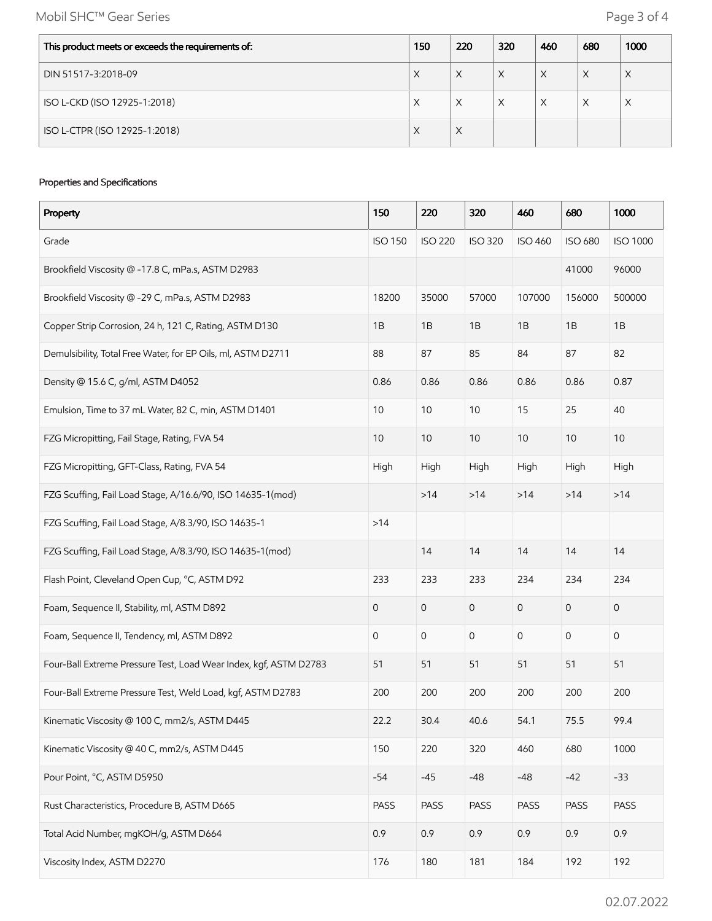Mobil SHC™ Gear Series **Page 3 of 4** 

| This product meets or exceeds the requirements of: | 150 | 220 | 320 | 460 | 680 | 1000 |
|----------------------------------------------------|-----|-----|-----|-----|-----|------|
| DIN 51517-3:2018-09                                | X   | X   | X   | X   | X   | X    |
| ISO L-CKD (ISO 12925-1:2018)                       | X   | X   | Χ   | X   | X   | X    |
| ISO L-CTPR (ISO 12925-1:2018)                      | X   | X   |     |     |     |      |

#### Properties and Specifications

| Property                                                          | 150            | 220            | 320            | 460                 | 680                 | 1000            |
|-------------------------------------------------------------------|----------------|----------------|----------------|---------------------|---------------------|-----------------|
| Grade                                                             | <b>ISO 150</b> | <b>ISO 220</b> | <b>ISO 320</b> | <b>ISO 460</b>      | <b>ISO 680</b>      | <b>ISO 1000</b> |
| Brookfield Viscosity @ -17.8 C, mPa.s, ASTM D2983                 |                |                |                |                     | 41000               | 96000           |
| Brookfield Viscosity @ -29 C, mPa.s, ASTM D2983                   | 18200          | 35000          | 57000          | 107000              | 156000              | 500000          |
| Copper Strip Corrosion, 24 h, 121 C, Rating, ASTM D130            | 1B             | 1B             | 1B             | 1B                  | 1B                  | 1B              |
| Demulsibility, Total Free Water, for EP Oils, ml, ASTM D2711      | 88             | 87             | 85             | 84                  | 87                  | 82              |
| Density @ 15.6 C, g/ml, ASTM D4052                                | 0.86           | 0.86           | 0.86           | 0.86                | 0.86                | 0.87            |
| Emulsion, Time to 37 mL Water, 82 C, min, ASTM D1401              | 10             | 10             | $10$           | 15                  | 25                  | 40              |
| FZG Micropitting, Fail Stage, Rating, FVA 54                      | 10             | 10             | 10             | $10$                | 10                  | 10 <sup>°</sup> |
| FZG Micropitting, GFT-Class, Rating, FVA 54                       | High           | High           | High           | High                | High                | High            |
| FZG Scuffing, Fail Load Stage, A/16.6/90, ISO 14635-1(mod)        |                | >14            | >14            | $>14$               | $>14$               | >14             |
| FZG Scuffing, Fail Load Stage, A/8.3/90, ISO 14635-1              | $>14$          |                |                |                     |                     |                 |
| FZG Scuffing, Fail Load Stage, A/8.3/90, ISO 14635-1(mod)         |                | 14             | 14             | 14                  | 14                  | 14              |
| Flash Point, Cleveland Open Cup, °C, ASTM D92                     | 233            | 233            | 233            | 234                 | 234                 | 234             |
| Foam, Sequence II, Stability, ml, ASTM D892                       | 0              | 0              | $\mathbf 0$    | $\mathsf{O}\xspace$ | $\mathbf 0$         | 0               |
| Foam, Sequence II, Tendency, ml, ASTM D892                        | 0              | 0              | $\mathbf 0$    | $\mathsf{O}\xspace$ | $\mathsf{O}\xspace$ | 0               |
| Four-Ball Extreme Pressure Test, Load Wear Index, kgf, ASTM D2783 | 51             | 51             | 51             | 51                  | 51                  | 51              |
| Four-Ball Extreme Pressure Test, Weld Load, kgf, ASTM D2783       | 200            | 200            | 200            | 200                 | 200                 | 200             |
| Kinematic Viscosity @ 100 C, mm2/s, ASTM D445                     | 22.2           | 30.4           | 40.6           | 54.1                | 75.5                | 99.4            |
| Kinematic Viscosity @ 40 C, mm2/s, ASTM D445                      | 150            | 220            | 320            | 460                 | 680                 | 1000            |
| Pour Point, °C, ASTM D5950                                        | $-54$          | $-45$          | $-48$          | $-48$               | $-42$               | $-33$           |
| Rust Characteristics, Procedure B, ASTM D665                      | PASS           | PASS           | PASS           | PASS                | PASS                | PASS            |
| Total Acid Number, mgKOH/g, ASTM D664                             | 0.9            | 0.9            | 0.9            | 0.9                 | 0.9                 | 0.9             |
| Viscosity Index, ASTM D2270                                       | 176            | 180            | 181            | 184                 | 192                 | 192             |